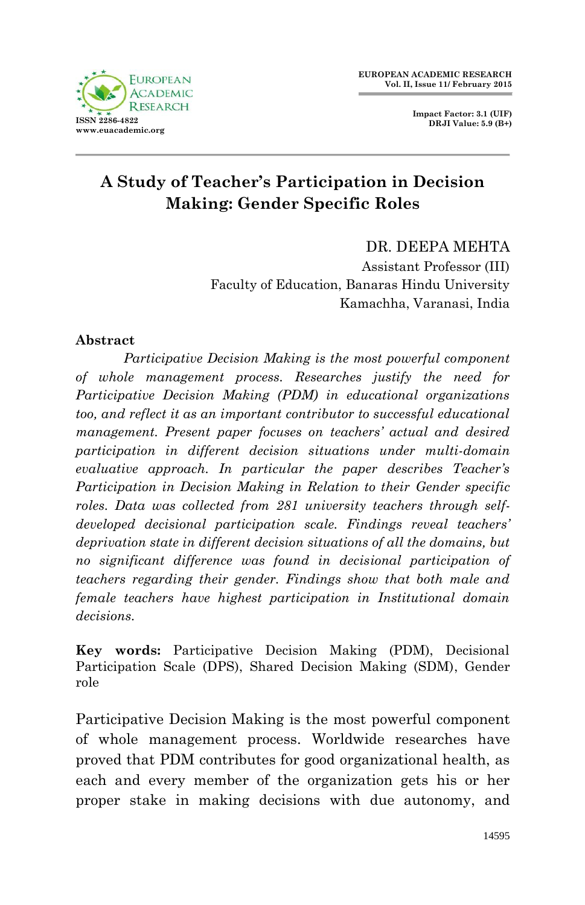**Impact Factor: 3.1 (UIF) DRJI Value: 5.9 (B+)**



# **A Study of Teacher's Participation in Decision Making: Gender Specific Roles**

DR. DEEPA MEHTA Assistant Professor (III) Faculty of Education, Banaras Hindu University Kamachha, Varanasi, India

#### **Abstract**

*Participative Decision Making is the most powerful component of whole management process. Researches justify the need for Participative Decision Making (PDM) in educational organizations too, and reflect it as an important contributor to successful educational management. Present paper focuses on teachers' actual and desired participation in different decision situations under multi-domain evaluative approach. In particular the paper describes Teacher's Participation in Decision Making in Relation to their Gender specific roles. Data was collected from 281 university teachers through selfdeveloped decisional participation scale. Findings reveal teachers' deprivation state in different decision situations of all the domains, but no significant difference was found in decisional participation of teachers regarding their gender. Findings show that both male and female teachers have highest participation in Institutional domain decisions.*

**Key words:** Participative Decision Making (PDM), Decisional Participation Scale (DPS), Shared Decision Making (SDM), Gender role

Participative Decision Making is the most powerful component of whole management process. Worldwide researches have proved that PDM contributes for good organizational health, as each and every member of the organization gets his or her proper stake in making decisions with due autonomy, and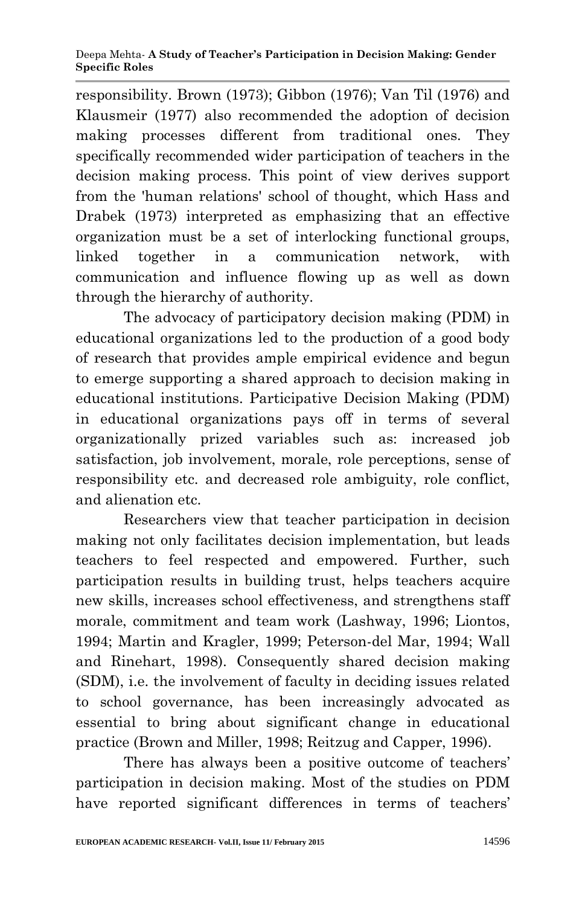responsibility. Brown (1973); Gibbon (1976); Van Til (1976) and Klausmeir (1977) also recommended the adoption of decision making processes different from traditional ones. They specifically recommended wider participation of teachers in the decision making process. This point of view derives support from the 'human relations' school of thought, which Hass and Drabek (1973) interpreted as emphasizing that an effective organization must be a set of interlocking functional groups, linked together in a communication network, with communication and influence flowing up as well as down through the hierarchy of authority.

The advocacy of participatory decision making (PDM) in educational organizations led to the production of a good body of research that provides ample empirical evidence and begun to emerge supporting a shared approach to decision making in educational institutions. Participative Decision Making (PDM) in educational organizations pays off in terms of several organizationally prized variables such as: increased job satisfaction, job involvement, morale, role perceptions, sense of responsibility etc. and decreased role ambiguity, role conflict, and alienation etc.

Researchers view that teacher participation in decision making not only facilitates decision implementation, but leads teachers to feel respected and empowered. Further, such participation results in building trust, helps teachers acquire new skills, increases school effectiveness, and strengthens staff morale, commitment and team work (Lashway, 1996; Liontos, 1994; Martin and Kragler, 1999; Peterson-del Mar, 1994; Wall and Rinehart, 1998). Consequently shared decision making (SDM), i.e. the involvement of faculty in deciding issues related to school governance, has been increasingly advocated as essential to bring about significant change in educational practice (Brown and Miller, 1998; Reitzug and Capper, 1996).

There has always been a positive outcome of teachers' participation in decision making. Most of the studies on PDM have reported significant differences in terms of teachers'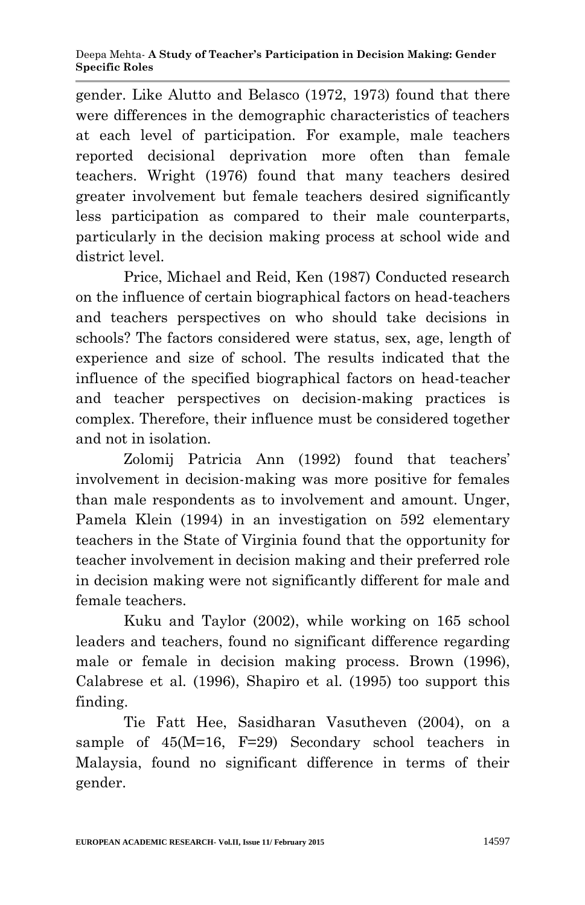gender. Like Alutto and Belasco (1972, 1973) found that there were differences in the demographic characteristics of teachers at each level of participation. For example, male teachers reported decisional deprivation more often than female teachers. Wright (1976) found that many teachers desired greater involvement but female teachers desired significantly less participation as compared to their male counterparts, particularly in the decision making process at school wide and district level.

Price, Michael and Reid, Ken (1987) Conducted research on the influence of certain biographical factors on head-teachers and teachers perspectives on who should take decisions in schools? The factors considered were status, sex, age, length of experience and size of school. The results indicated that the influence of the specified biographical factors on head-teacher and teacher perspectives on decision-making practices is complex. Therefore, their influence must be considered together and not in isolation.

Zolomij Patricia Ann (1992) found that teachers' involvement in decision-making was more positive for females than male respondents as to involvement and amount. Unger, Pamela Klein (1994) in an investigation on 592 elementary teachers in the State of Virginia found that the opportunity for teacher involvement in decision making and their preferred role in decision making were not significantly different for male and female teachers.

Kuku and Taylor (2002), while working on 165 school leaders and teachers, found no significant difference regarding male or female in decision making process. Brown (1996), Calabrese et al. (1996), Shapiro et al. (1995) too support this finding.

Tie Fatt Hee, Sasidharan Vasutheven (2004), on a sample of 45(M=16, F=29) Secondary school teachers in Malaysia, found no significant difference in terms of their gender.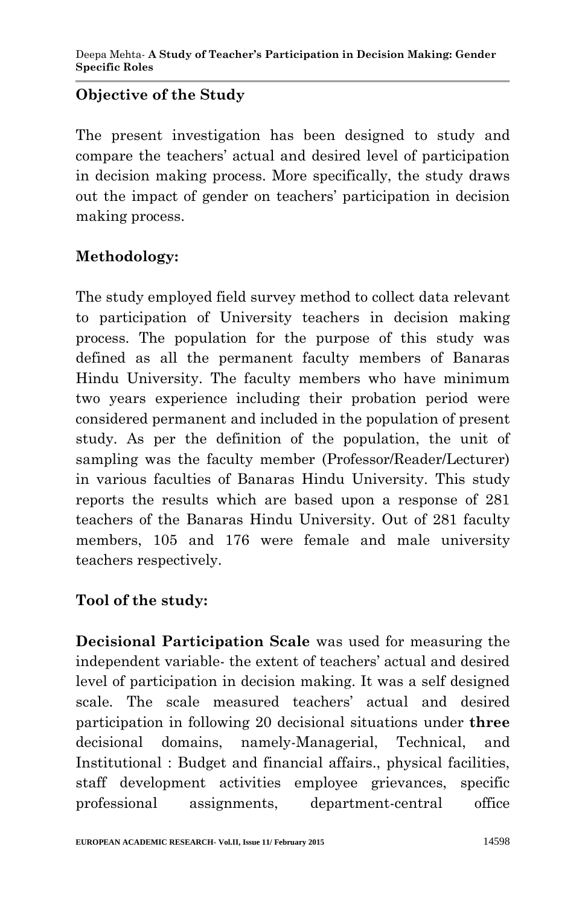# **Objective of the Study**

The present investigation has been designed to study and compare the teachers' actual and desired level of participation in decision making process. More specifically, the study draws out the impact of gender on teachers' participation in decision making process.

# **Methodology:**

The study employed field survey method to collect data relevant to participation of University teachers in decision making process. The population for the purpose of this study was defined as all the permanent faculty members of Banaras Hindu University. The faculty members who have minimum two years experience including their probation period were considered permanent and included in the population of present study. As per the definition of the population, the unit of sampling was the faculty member (Professor/Reader/Lecturer) in various faculties of Banaras Hindu University. This study reports the results which are based upon a response of 281 teachers of the Banaras Hindu University. Out of 281 faculty members, 105 and 176 were female and male university teachers respectively.

## **Tool of the study:**

**Decisional Participation Scale** was used for measuring the independent variable- the extent of teachers' actual and desired level of participation in decision making. It was a self designed scale. The scale measured teachers' actual and desired participation in following 20 decisional situations under **three** decisional domains, namely-Managerial, Technical, and Institutional : Budget and financial affairs., physical facilities, staff development activities employee grievances, specific professional assignments, department-central office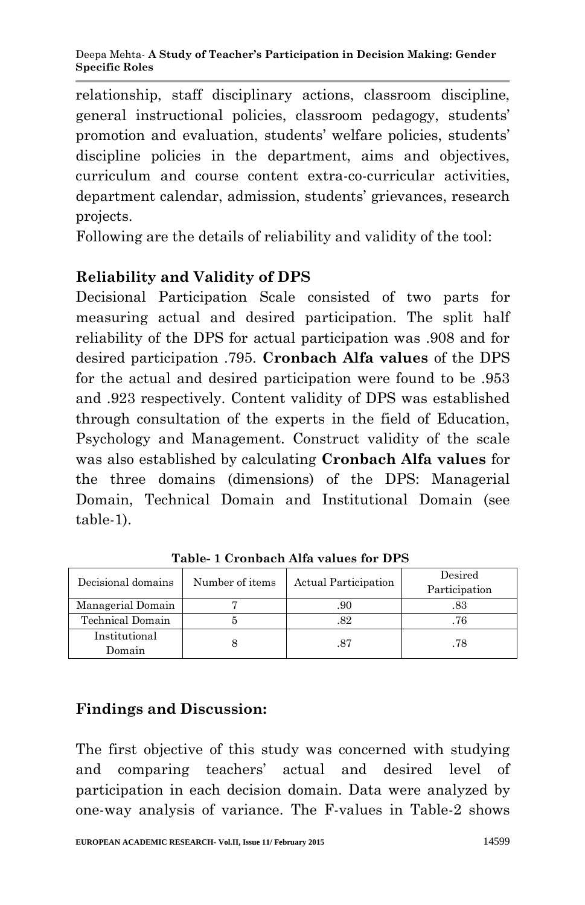relationship, staff disciplinary actions, classroom discipline, general instructional policies, classroom pedagogy, students' promotion and evaluation, students' welfare policies, students' discipline policies in the department, aims and objectives, curriculum and course content extra-co-curricular activities, department calendar, admission, students' grievances, research projects.

Following are the details of reliability and validity of the tool:

## **Reliability and Validity of DPS**

Decisional Participation Scale consisted of two parts for measuring actual and desired participation. The split half reliability of the DPS for actual participation was .908 and for desired participation .795. **Cronbach Alfa values** of the DPS for the actual and desired participation were found to be .953 and .923 respectively. Content validity of DPS was established through consultation of the experts in the field of Education, Psychology and Management. Construct validity of the scale was also established by calculating **Cronbach Alfa values** for the three domains (dimensions) of the DPS: Managerial Domain, Technical Domain and Institutional Domain (see table-1).

| Decisional domains      | Number of items | Actual Participation | Desired<br>Participation |
|-------------------------|-----------------|----------------------|--------------------------|
| Managerial Domain       |                 | .90                  |                          |
| Technical Domain        |                 | 82                   |                          |
| Institutional<br>Domain |                 | .87                  | .78                      |

**Table- 1 Cronbach Alfa values for DPS** 

## **Findings and Discussion:**

The first objective of this study was concerned with studying and comparing teachers' actual and desired level of participation in each decision domain. Data were analyzed by one-way analysis of variance. The F-values in Table-2 shows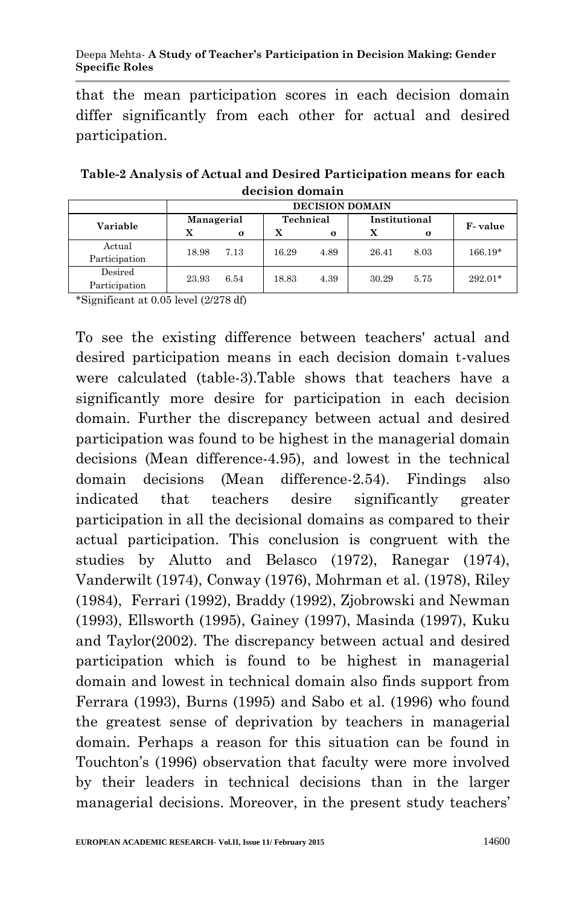#### Deepa Mehta- **A Study of Teacher's Participation in Decision Making: Gender Specific Roles**

that the mean participation scores in each decision domain differ significantly from each other for actual and desired participation.

| Table-2 Analysis of Actual and Desired Participation means for each |  |
|---------------------------------------------------------------------|--|
| decision domain                                                     |  |

|                          | <b>DECISION DOMAIN</b> |          |           |          |               |      |           |
|--------------------------|------------------------|----------|-----------|----------|---------------|------|-----------|
| Variable                 | Managerial             |          | Technical |          | Institutional |      | F-value   |
|                          | x                      | $\sigma$ | x         | $\sigma$ |               | σ    |           |
| Actual<br>Participation  | 18.98                  | 7.13     | 16.29     | 4.89     | 26.41         | 8.03 | $166.19*$ |
| Desired<br>Participation | 23.93                  | 6.54     | 18.83     | 4.39     | 30.29         | 5.75 | $292.01*$ |

\*Significant at 0.05 level (2/278 df)

To see the existing difference between teachers' actual and desired participation means in each decision domain t-values were calculated (table-3).Table shows that teachers have a significantly more desire for participation in each decision domain. Further the discrepancy between actual and desired participation was found to be highest in the managerial domain decisions (Mean difference-4.95), and lowest in the technical domain decisions (Mean difference-2.54). Findings also indicated that teachers desire significantly greater participation in all the decisional domains as compared to their actual participation. This conclusion is congruent with the studies by Alutto and Belasco (1972), Ranegar (1974), Vanderwilt (1974), Conway (1976), Mohrman et al. (1978), Riley (1984), Ferrari (1992), Braddy (1992), Zjobrowski and Newman (1993), Ellsworth (1995), Gainey (1997), Masinda (1997), Kuku and Taylor(2002). The discrepancy between actual and desired participation which is found to be highest in managerial domain and lowest in technical domain also finds support from Ferrara (1993), Burns (1995) and Sabo et al. (1996) who found the greatest sense of deprivation by teachers in managerial domain. Perhaps a reason for this situation can be found in Touchton's (1996) observation that faculty were more involved by their leaders in technical decisions than in the larger managerial decisions. Moreover, in the present study teachers'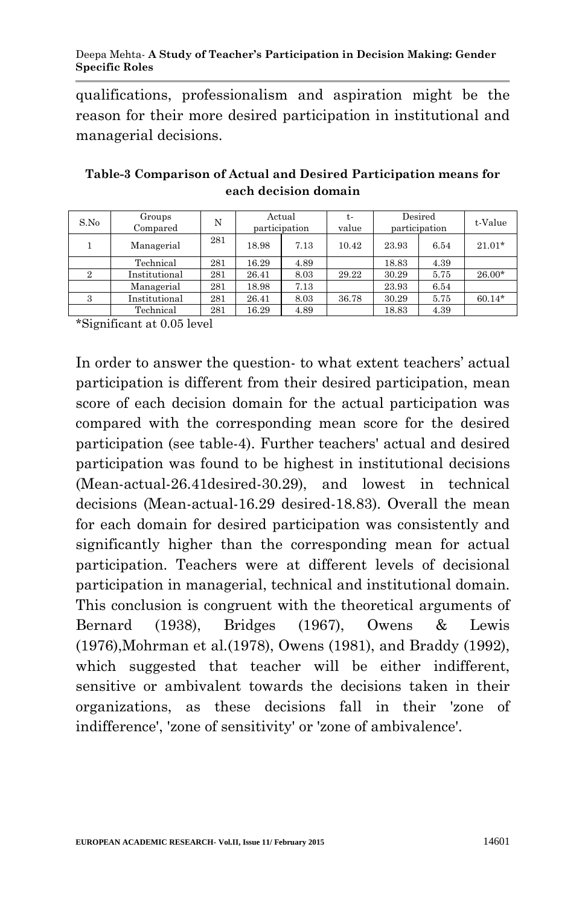qualifications, professionalism and aspiration might be the reason for their more desired participation in institutional and managerial decisions.

| S.No | Groups<br>Compared | N   | Actual<br>participation |      | t-<br>value | Desired<br>participation |      | t-Value  |
|------|--------------------|-----|-------------------------|------|-------------|--------------------------|------|----------|
|      | Managerial         | 281 | 18.98                   | 7.13 | 10.42       | 23.93                    | 6.54 | $21.01*$ |
|      | Technical          | 281 | 16.29                   | 4.89 |             | 18.83                    | 4.39 |          |
|      | Institutional      | 281 | 26.41                   | 8.03 | 29.22       | 30.29                    | 5.75 | 26.00*   |
|      | Managerial         | 281 | 18.98                   | 7.13 |             | 23.93                    | 6.54 |          |
| 3    | Institutional      | 281 | 26.41                   | 8.03 | 36.78       | 30.29                    | 5.75 | $60.14*$ |
|      | Technical          | 281 | 16.29                   | 4.89 |             | 18.83                    | 4.39 |          |

**Table-3 Comparison of Actual and Desired Participation means for each decision domain**

\*Significant at 0.05 level

In order to answer the question- to what extent teachers' actual participation is different from their desired participation, mean score of each decision domain for the actual participation was compared with the corresponding mean score for the desired participation (see table-4). Further teachers' actual and desired participation was found to be highest in institutional decisions (Mean-actual-26.41desired-30.29), and lowest in technical decisions (Mean-actual-16.29 desired-18.83). Overall the mean for each domain for desired participation was consistently and significantly higher than the corresponding mean for actual participation. Teachers were at different levels of decisional participation in managerial, technical and institutional domain. This conclusion is congruent with the theoretical arguments of Bernard (1938), Bridges (1967), Owens & Lewis (1976),Mohrman et al.(1978), Owens (1981), and Braddy (1992), which suggested that teacher will be either indifferent, sensitive or ambivalent towards the decisions taken in their organizations, as these decisions fall in their 'zone of indifference', 'zone of sensitivity' or 'zone of ambivalence'.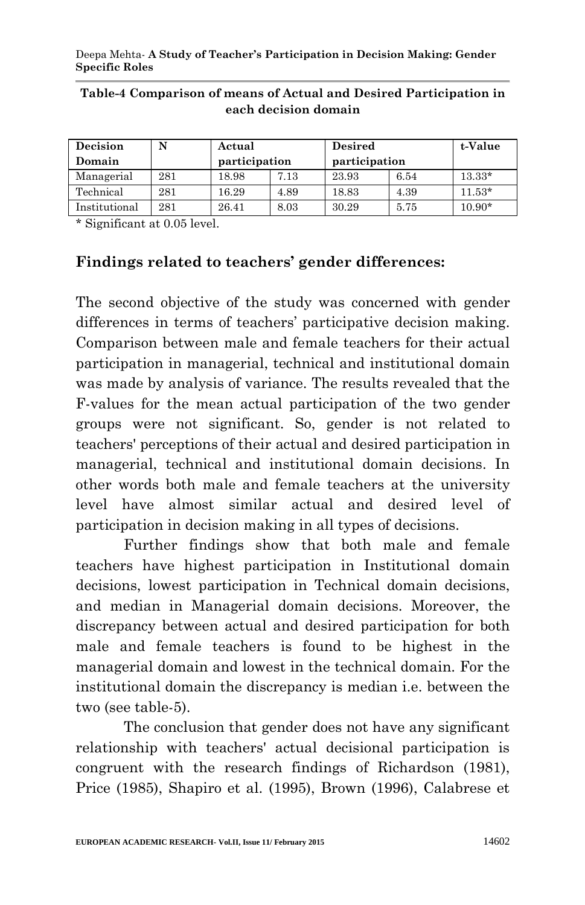| Decision      | N   | Actual        |      | <b>Desired</b> | t-Value |          |
|---------------|-----|---------------|------|----------------|---------|----------|
| Domain        |     | participation |      | participation  |         |          |
| Managerial    | 281 | 18.98         | 7.13 | 23.93          | 6.54    | $13.33*$ |
| Technical     | 281 | 16.29         | 4.89 | 18.83          | 4.39    | $11.53*$ |
| Institutional | 281 | 26.41         | 8.03 | 30.29          | 5.75    | $10.90*$ |

#### **Table-4 Comparison of means of Actual and Desired Participation in each decision domain**

\* Significant at 0.05 level.

## **Findings related to teachers' gender differences:**

The second objective of the study was concerned with gender differences in terms of teachers' participative decision making. Comparison between male and female teachers for their actual participation in managerial, technical and institutional domain was made by analysis of variance. The results revealed that the F-values for the mean actual participation of the two gender groups were not significant. So, gender is not related to teachers' perceptions of their actual and desired participation in managerial, technical and institutional domain decisions. In other words both male and female teachers at the university level have almost similar actual and desired level of participation in decision making in all types of decisions.

Further findings show that both male and female teachers have highest participation in Institutional domain decisions, lowest participation in Technical domain decisions, and median in Managerial domain decisions. Moreover, the discrepancy between actual and desired participation for both male and female teachers is found to be highest in the managerial domain and lowest in the technical domain. For the institutional domain the discrepancy is median i.e. between the two (see table-5).

The conclusion that gender does not have any significant relationship with teachers' actual decisional participation is congruent with the research findings of Richardson (1981), Price (1985), Shapiro et al. (1995), Brown (1996), Calabrese et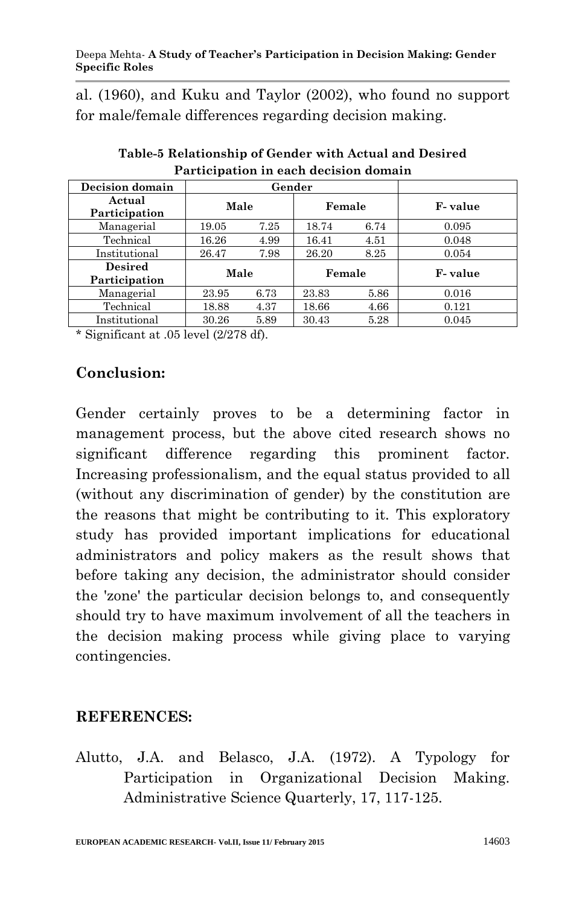al. (1960), and Kuku and Taylor (2002), who found no support for male/female differences regarding decision making.

| Decision domain                 | Gender |      |        |      |         |
|---------------------------------|--------|------|--------|------|---------|
| Actual<br>Participation         | Male   |      | Female |      | F-value |
| Managerial                      | 19.05  | 7.25 | 18.74  | 6.74 | 0.095   |
| Technical                       | 16.26  | 4.99 | 16.41  | 4.51 | 0.048   |
| Institutional                   | 26.47  | 7.98 | 26.20  | 8.25 | 0.054   |
| <b>Desired</b><br>Participation | Male   |      | Female |      | F-value |
| Managerial                      | 23.95  | 6.73 | 23.83  | 5.86 | 0.016   |
| Technical                       | 18.88  | 4.37 | 18.66  | 4.66 | 0.121   |
| Institutional                   | 30.26  | 5.89 | 30.43  | 5.28 | 0.045   |

**Table-5 Relationship of Gender with Actual and Desired Participation in each decision domain**

\* Significant at .05 level (2/278 df).

## **Conclusion:**

Gender certainly proves to be a determining factor in management process, but the above cited research shows no significant difference regarding this prominent factor. Increasing professionalism, and the equal status provided to all (without any discrimination of gender) by the constitution are the reasons that might be contributing to it. This exploratory study has provided important implications for educational administrators and policy makers as the result shows that before taking any decision, the administrator should consider the 'zone' the particular decision belongs to, and consequently should try to have maximum involvement of all the teachers in the decision making process while giving place to varying contingencies.

#### **REFERENCES:**

Alutto, J.A. and Belasco, J.A. (1972). A Typology for Participation in Organizational Decision Making. Administrative Science Quarterly, 17, 117-125.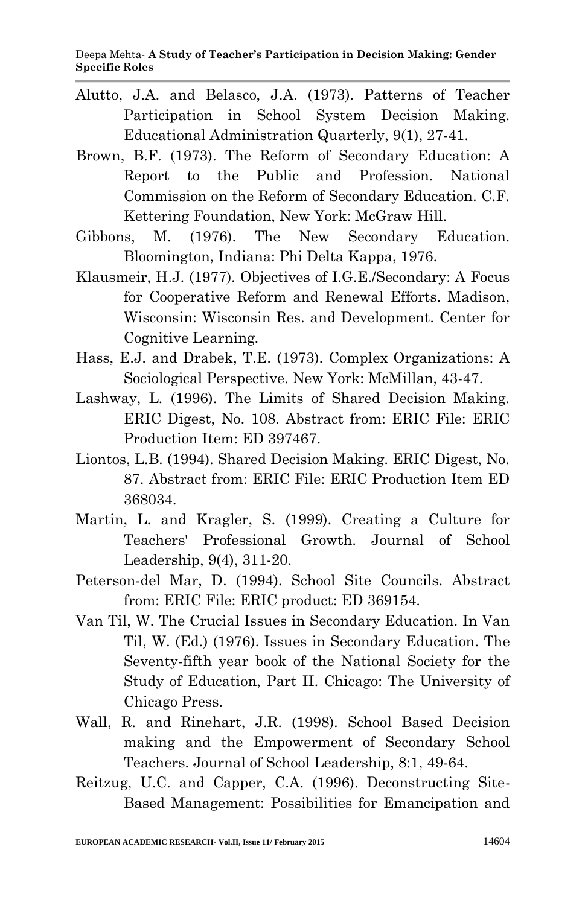- Alutto, J.A. and Belasco, J.A. (1973). Patterns of Teacher Participation in School System Decision Making. Educational Administration Quarterly, 9(1), 27-41.
- Brown, B.F. (1973). The Reform of Secondary Education: A Report to the Public and Profession. National Commission on the Reform of Secondary Education. C.F. Kettering Foundation, New York: McGraw Hill.
- Gibbons, M. (1976). The New Secondary Education. Bloomington, Indiana: Phi Delta Kappa, 1976.
- Klausmeir, H.J. (1977). Objectives of I.G.E./Secondary: A Focus for Cooperative Reform and Renewal Efforts. Madison, Wisconsin: Wisconsin Res. and Development. Center for Cognitive Learning.
- Hass, E.J. and Drabek, T.E. (1973). Complex Organizations: A Sociological Perspective. New York: McMillan, 43-47.
- Lashway, L. (1996). The Limits of Shared Decision Making. ERIC Digest, No. 108. Abstract from: ERIC File: ERIC Production Item: ED 397467.
- Liontos, L.B. (1994). Shared Decision Making. ERIC Digest, No. 87. Abstract from: ERIC File: ERIC Production Item ED 368034.
- Martin, L. and Kragler, S. (1999). Creating a Culture for Teachers' Professional Growth. Journal of School Leadership, 9(4), 311-20.
- Peterson-del Mar, D. (1994). School Site Councils. Abstract from: ERIC File: ERIC product: ED 369154.
- Van Til, W. The Crucial Issues in Secondary Education. In Van Til, W. (Ed.) (1976). Issues in Secondary Education. The Seventy-fifth year book of the National Society for the Study of Education, Part II. Chicago: The University of Chicago Press.
- Wall, R. and Rinehart, J.R. (1998). School Based Decision making and the Empowerment of Secondary School Teachers. Journal of School Leadership, 8:1, 49-64.
- Reitzug, U.C. and Capper, C.A. (1996). Deconstructing Site-Based Management: Possibilities for Emancipation and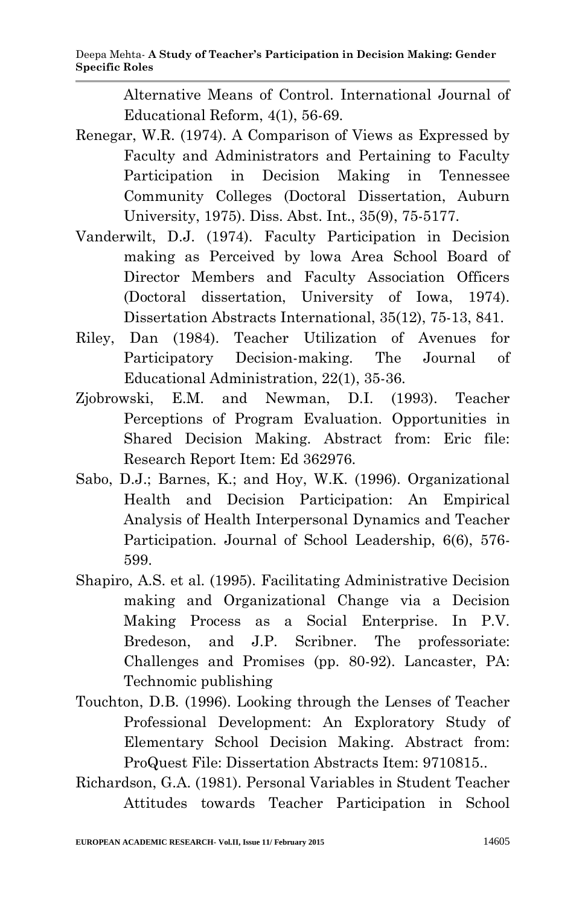Alternative Means of Control. International Journal of Educational Reform, 4(1), 56-69.

- Renegar, W.R. (1974). A Comparison of Views as Expressed by Faculty and Administrators and Pertaining to Faculty Participation in Decision Making in Tennessee Community Colleges (Doctoral Dissertation, Auburn University, 1975). Diss. Abst. Int., 35(9), 75-5177.
- Vanderwilt, D.J. (1974). Faculty Participation in Decision making as Perceived by lowa Area School Board of Director Members and Faculty Association Officers (Doctoral dissertation, University of Iowa, 1974). Dissertation Abstracts International, 35(12), 75-13, 841.
- Riley, Dan (1984). Teacher Utilization of Avenues for Participatory Decision-making. The Journal of Educational Administration, 22(1), 35-36.
- Zjobrowski, E.M. and Newman, D.I. (1993). Teacher Perceptions of Program Evaluation. Opportunities in Shared Decision Making. Abstract from: Eric file: Research Report Item: Ed 362976.
- Sabo, D.J.; Barnes, K.; and Hoy, W.K. (1996). Organizational Health and Decision Participation: An Empirical Analysis of Health Interpersonal Dynamics and Teacher Participation. Journal of School Leadership, 6(6), 576- 599.
- Shapiro, A.S. et al. (1995). Facilitating Administrative Decision making and Organizational Change via a Decision Making Process as a Social Enterprise. In P.V. Bredeson, and J.P. Scribner. The professoriate: Challenges and Promises (pp. 80-92). Lancaster, PA: Technomic publishing
- Touchton, D.B. (1996). Looking through the Lenses of Teacher Professional Development: An Exploratory Study of Elementary School Decision Making. Abstract from: ProQuest File: Dissertation Abstracts Item: 9710815..
- Richardson, G.A. (1981). Personal Variables in Student Teacher Attitudes towards Teacher Participation in School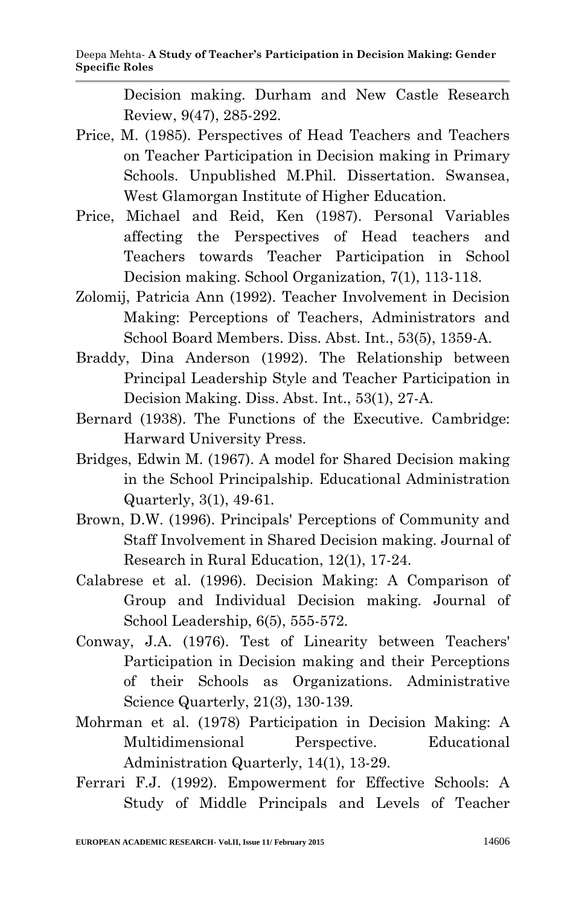Decision making. Durham and New Castle Research Review, 9(47), 285-292.

- Price, M. (1985). Perspectives of Head Teachers and Teachers on Teacher Participation in Decision making in Primary Schools. Unpublished M.Phil. Dissertation. Swansea, West Glamorgan Institute of Higher Education.
- Price, Michael and Reid, Ken (1987). Personal Variables affecting the Perspectives of Head teachers and Teachers towards Teacher Participation in School Decision making. School Organization, 7(1), 113-118.
- Zolomij, Patricia Ann (1992). Teacher Involvement in Decision Making: Perceptions of Teachers, Administrators and School Board Members. Diss. Abst. Int., 53(5), 1359-A.
- Braddy, Dina Anderson (1992). The Relationship between Principal Leadership Style and Teacher Participation in Decision Making. Diss. Abst. Int., 53(1), 27-A.
- Bernard (1938). The Functions of the Executive. Cambridge: Harward University Press.
- Bridges, Edwin M. (1967). A model for Shared Decision making in the School Principalship. Educational Administration Quarterly, 3(1), 49-61.
- Brown, D.W. (1996). Principals' Perceptions of Community and Staff Involvement in Shared Decision making. Journal of Research in Rural Education, 12(1), 17-24.
- Calabrese et al. (1996). Decision Making: A Comparison of Group and Individual Decision making. Journal of School Leadership, 6(5), 555-572.
- Conway, J.A. (1976). Test of Linearity between Teachers' Participation in Decision making and their Perceptions of their Schools as Organizations. Administrative Science Quarterly, 21(3), 130-139.
- Mohrman et al. (1978) Participation in Decision Making: A Multidimensional Perspective. Educational Administration Quarterly, 14(1), 13-29.
- Ferrari F.J. (1992). Empowerment for Effective Schools: A Study of Middle Principals and Levels of Teacher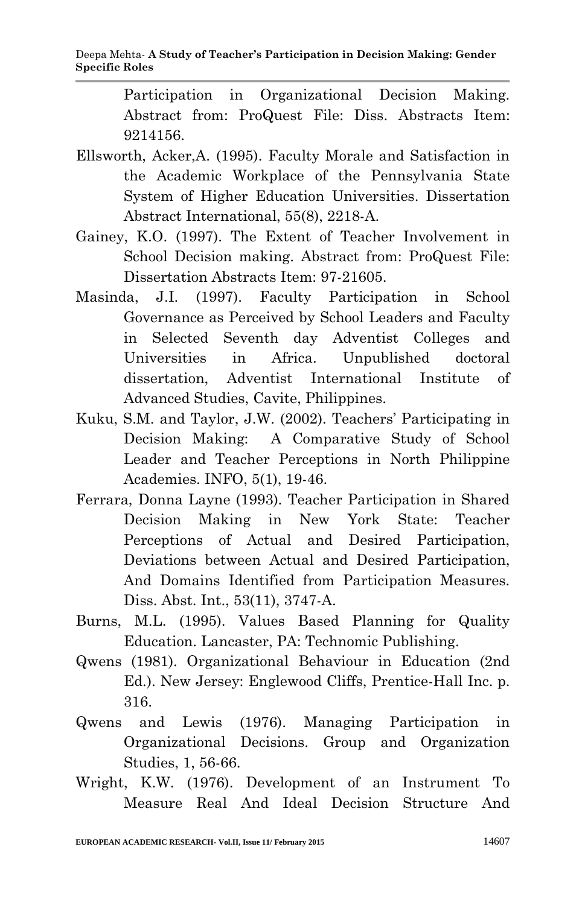Participation in Organizational Decision Making. Abstract from: ProQuest File: Diss. Abstracts Item: 9214156.

- Ellsworth, Acker,A. (1995). Faculty Morale and Satisfaction in the Academic Workplace of the Pennsylvania State System of Higher Education Universities. Dissertation Abstract International, 55(8), 2218-A.
- Gainey, K.O. (1997). The Extent of Teacher Involvement in School Decision making. Abstract from: ProQuest File: Dissertation Abstracts Item: 97-21605.
- Masinda, J.I. (1997). Faculty Participation in School Governance as Perceived by School Leaders and Faculty in Selected Seventh day Adventist Colleges and Universities in Africa. Unpublished doctoral dissertation, Adventist International Institute of Advanced Studies, Cavite, Philippines.
- Kuku, S.M. and Taylor, J.W. (2002). Teachers' Participating in Decision Making: A Comparative Study of School Leader and Teacher Perceptions in North Philippine Academies. INFO, 5(1), 19-46.
- Ferrara, Donna Layne (1993). Teacher Participation in Shared Decision Making in New York State: Teacher Perceptions of Actual and Desired Participation, Deviations between Actual and Desired Participation, And Domains Identified from Participation Measures. Diss. Abst. Int., 53(11), 3747-A.
- Burns, M.L. (1995). Values Based Planning for Quality Education. Lancaster, PA: Technomic Publishing.
- Qwens (1981). Organizational Behaviour in Education (2nd Ed.). New Jersey: Englewood Cliffs, Prentice-Hall Inc. p. 316.
- Qwens and Lewis (1976). Managing Participation in Organizational Decisions. Group and Organization Studies, 1, 56-66.
- Wright, K.W. (1976). Development of an Instrument To Measure Real And Ideal Decision Structure And